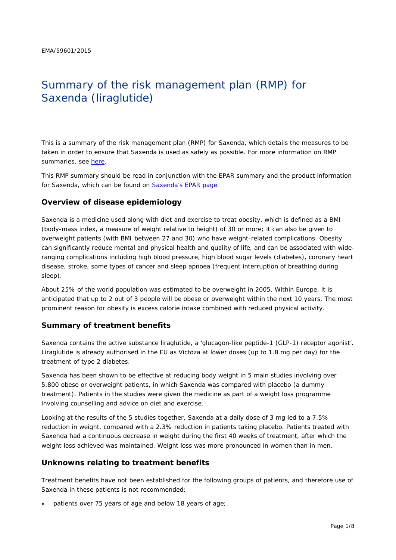# Summary of the risk management plan (RMP) for Saxenda (liraglutide)

This is a summary of the risk management plan (RMP) for Saxenda, which details the measures to be taken in order to ensure that Saxenda is used as safely as possible. For more information on RMP summaries, see [here.](http://www.ema.europa.eu/docs/en_GB/document_library/Other/2014/05/WC500166101.pdf)

This RMP summary should be read in conjunction with the EPAR summary and the product information for Saxenda, which can be found on [Saxenda's EPAR page.](http://www.ema.europa.eu/ema/index.jsp?curl=/pages/medicines/human/medicines/003780/human_med_001855.jsp)

#### **Overview of disease epidemiology**

Saxenda is a medicine used along with diet and exercise to treat obesity, which is defined as a BMI (body-mass index, a measure of weight relative to height) of 30 or more; it can also be given to overweight patients (with BMI between 27 and 30) who have weight-related complications. Obesity can significantly reduce mental and physical health and quality of life, and can be associated with wideranging complications including high blood pressure, high blood sugar levels (diabetes), coronary heart disease, stroke, some types of cancer and sleep apnoea (frequent interruption of breathing during sleep).

About 25% of the world population was estimated to be overweight in 2005. Within Europe, it is anticipated that up to 2 out of 3 people will be obese or overweight within the next 10 years. The most prominent reason for obesity is excess calorie intake combined with reduced physical activity.

#### **Summary of treatment benefits**

Saxenda contains the active substance liraglutide, a 'glucagon-like peptide-1 (GLP-1) receptor agonist'. Liraglutide is already authorised in the EU as Victoza at lower doses (up to 1.8 mg per day) for the treatment of type 2 diabetes.

Saxenda has been shown to be effective at reducing body weight in 5 main studies involving over 5,800 obese or overweight patients, in which Saxenda was compared with placebo (a dummy treatment). Patients in the studies were given the medicine as part of a weight loss programme involving counselling and advice on diet and exercise.

Looking at the results of the 5 studies together, Saxenda at a daily dose of 3 mg led to a 7.5% reduction in weight, compared with a 2.3% reduction in patients taking placebo. Patients treated with Saxenda had a continuous decrease in weight during the first 40 weeks of treatment, after which the weight loss achieved was maintained. Weight loss was more pronounced in women than in men.

#### **Unknowns relating to treatment benefits**

Treatment benefits have not been established for the following groups of patients, and therefore use of Saxenda in these patients is not recommended:

patients over 75 years of age and below 18 years of age;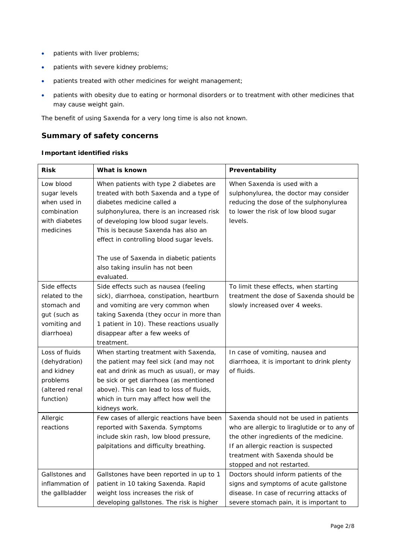- patients with liver problems;
- patients with severe kidney problems;
- patients treated with other medicines for weight management;
- patients with obesity due to eating or hormonal disorders or to treatment with other medicines that may cause weight gain.

The benefit of using Saxenda for a very long time is also not known.

# **Summary of safety concerns**

#### *Important identified risks*

| <b>Risk</b>                 | What is known                                                                     | Preventability                                                                 |
|-----------------------------|-----------------------------------------------------------------------------------|--------------------------------------------------------------------------------|
| Low blood<br>sugar levels   | When patients with type 2 diabetes are<br>treated with both Saxenda and a type of | When Saxenda is used with a<br>sulphonylurea, the doctor may consider          |
| when used in<br>combination | diabetes medicine called a<br>sulphonylurea, there is an increased risk           | reducing the dose of the sulphonylurea<br>to lower the risk of low blood sugar |
| with diabetes               | of developing low blood sugar levels.                                             | levels.                                                                        |
| medicines                   | This is because Saxenda has also an                                               |                                                                                |
|                             | effect in controlling blood sugar levels.                                         |                                                                                |
|                             | The use of Saxenda in diabetic patients                                           |                                                                                |
|                             | also taking insulin has not been<br>evaluated.                                    |                                                                                |
| Side effects                | Side effects such as nausea (feeling                                              | To limit these effects, when starting                                          |
| related to the              | sick), diarrhoea, constipation, heartburn                                         | treatment the dose of Saxenda should be                                        |
| stomach and                 | and vomiting are very common when                                                 | slowly increased over 4 weeks.                                                 |
| gut (such as                | taking Saxenda (they occur in more than                                           |                                                                                |
| vomiting and                | 1 patient in 10). These reactions usually                                         |                                                                                |
| diarrhoea)                  | disappear after a few weeks of                                                    |                                                                                |
|                             | treatment.                                                                        |                                                                                |
| Loss of fluids              | When starting treatment with Saxenda,                                             | In case of vomiting, nausea and                                                |
| (dehydration)               | the patient may feel sick (and may not                                            | diarrhoea, it is important to drink plenty                                     |
| and kidney                  | eat and drink as much as usual), or may                                           | of fluids.                                                                     |
| problems                    | be sick or get diarrhoea (as mentioned                                            |                                                                                |
| (altered renal              | above). This can lead to loss of fluids,                                          |                                                                                |
| function)                   | which in turn may affect how well the<br>kidneys work.                            |                                                                                |
| Allergic                    | Few cases of allergic reactions have been                                         | Saxenda should not be used in patients                                         |
| reactions                   | reported with Saxenda. Symptoms                                                   | who are allergic to liraglutide or to any of                                   |
|                             | include skin rash, low blood pressure,                                            | the other ingredients of the medicine.                                         |
|                             | palpitations and difficulty breathing.                                            | If an allergic reaction is suspected                                           |
|                             |                                                                                   | treatment with Saxenda should be                                               |
|                             |                                                                                   | stopped and not restarted.                                                     |
| Gallstones and              | Gallstones have been reported in up to 1                                          | Doctors should inform patients of the                                          |
| inflammation of             | patient in 10 taking Saxenda. Rapid                                               | signs and symptoms of acute gallstone                                          |
| the gallbladder             | weight loss increases the risk of                                                 | disease. In case of recurring attacks of                                       |
|                             | developing gallstones. The risk is higher                                         | severe stomach pain, it is important to                                        |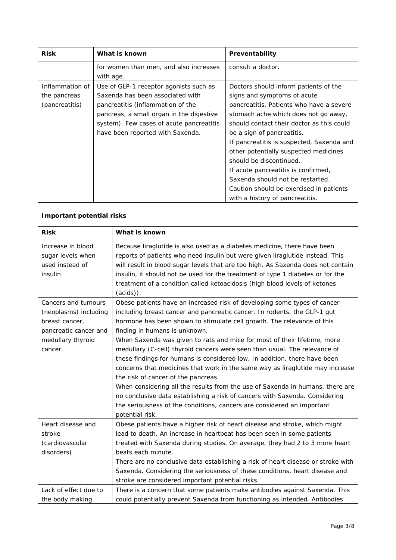| <b>Risk</b>     | What is known                            | Preventability                            |
|-----------------|------------------------------------------|-------------------------------------------|
|                 | for women than men, and also increases   | consult a doctor.                         |
|                 | with age.                                |                                           |
| Inflammation of | Use of GLP-1 receptor agonists such as   | Doctors should inform patients of the     |
| the pancreas    | Saxenda has been associated with         | signs and symptoms of acute               |
| (pancreatitis)  | pancreatitis (inflammation of the        | pancreatitis. Patients who have a severe  |
|                 | pancreas, a small organ in the digestive | stomach ache which does not go away,      |
|                 | system). Few cases of acute pancreatitis | should contact their doctor as this could |
|                 | have been reported with Saxenda.         | be a sign of pancreatitis.                |
|                 |                                          | If pancreatitis is suspected, Saxenda and |
|                 |                                          | other potentially suspected medicines     |
|                 |                                          | should be discontinued.                   |
|                 |                                          | If acute pancreatitis is confirmed,       |
|                 |                                          | Saxenda should not be restarted.          |
|                 |                                          | Caution should be exercised in patients   |
|                 |                                          | with a history of pancreatitis.           |

#### *Important potential risks*

| <b>Risk</b>           | What is known                                                                    |
|-----------------------|----------------------------------------------------------------------------------|
| Increase in blood     | Because liraglutide is also used as a diabetes medicine, there have been         |
| sugar levels when     | reports of patients who need insulin but were given liraglutide instead. This    |
| used instead of       | will result in blood sugar levels that are too high. As Saxenda does not contain |
| insulin               | insulin, it should not be used for the treatment of type 1 diabetes or for the   |
|                       | treatment of a condition called ketoacidosis (high blood levels of ketones       |
|                       | $(acids)$ ).                                                                     |
| Cancers and tumours   | Obese patients have an increased risk of developing some types of cancer         |
| (neoplasms) including | including breast cancer and pancreatic cancer. In rodents, the GLP-1 gut         |
| breast cancer.        | hormone has been shown to stimulate cell growth. The relevance of this           |
| pancreatic cancer and | finding in humans is unknown.                                                    |
| medullary thyroid     | When Saxenda was given to rats and mice for most of their lifetime, more         |
| cancer                | medullary (C-cell) thyroid cancers were seen than usual. The relevance of        |
|                       | these findings for humans is considered low. In addition, there have been        |
|                       | concerns that medicines that work in the same way as liraglutide may increase    |
|                       | the risk of cancer of the pancreas.                                              |
|                       | When considering all the results from the use of Saxenda in humans, there are    |
|                       | no conclusive data establishing a risk of cancers with Saxenda. Considering      |
|                       | the seriousness of the conditions, cancers are considered an important           |
|                       | potential risk.                                                                  |
| Heart disease and     | Obese patients have a higher risk of heart disease and stroke, which might       |
| stroke                | lead to death. An increase in heartbeat has been seen in some patients           |
| (cardiovascular       | treated with Saxenda during studies. On average, they had 2 to 3 more heart      |
| disorders)            | beats each minute.                                                               |
|                       | There are no conclusive data establishing a risk of heart disease or stroke with |
|                       | Saxenda. Considering the seriousness of these conditions, heart disease and      |
|                       | stroke are considered important potential risks.                                 |
| Lack of effect due to | There is a concern that some patients make antibodies against Saxenda. This      |
| the body making       | could potentially prevent Saxenda from functioning as intended. Antibodies       |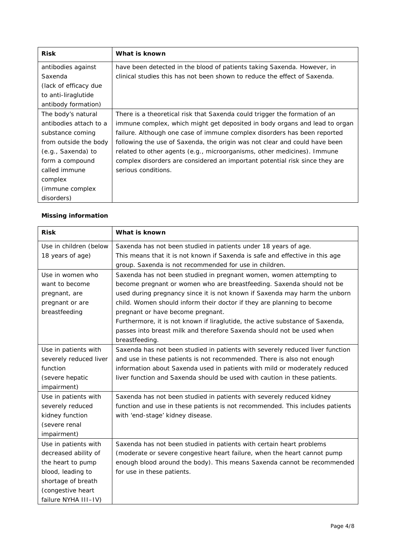| <b>Risk</b>            | What is known                                                               |
|------------------------|-----------------------------------------------------------------------------|
| antibodies against     | have been detected in the blood of patients taking Saxenda. However, in     |
| Saxenda                | clinical studies this has not been shown to reduce the effect of Saxenda.   |
| (lack of efficacy due) |                                                                             |
| to anti-liraglutide    |                                                                             |
| antibody formation)    |                                                                             |
| The body's natural     | There is a theoretical risk that Saxenda could trigger the formation of an  |
| antibodies attach to a | immune complex, which might get deposited in body organs and lead to organ  |
| substance coming       | failure. Although one case of immune complex disorders has been reported    |
| from outside the body  | following the use of Saxenda, the origin was not clear and could have been  |
| (e.g., Saxenda) to     | related to other agents (e.g., microorganisms, other medicines). Immune     |
| form a compound        | complex disorders are considered an important potential risk since they are |
| called immune          | serious conditions.                                                         |
| complex                |                                                                             |
| (immune complex)       |                                                                             |
| disorders)             |                                                                             |

#### *Missing information*

| <b>Risk</b>            | What is known                                                                 |
|------------------------|-------------------------------------------------------------------------------|
| Use in children (below | Saxenda has not been studied in patients under 18 years of age.               |
| 18 years of age)       | This means that it is not known if Saxenda is safe and effective in this age  |
|                        | group. Saxenda is not recommended for use in children.                        |
| Use in women who       | Saxenda has not been studied in pregnant women, women attempting to           |
| want to become         | become pregnant or women who are breastfeeding. Saxenda should not be         |
| pregnant, are          | used during pregnancy since it is not known if Saxenda may harm the unborn    |
| pregnant or are        | child. Women should inform their doctor if they are planning to become        |
| breastfeeding          | pregnant or have become pregnant.                                             |
|                        | Furthermore, it is not known if liraglutide, the active substance of Saxenda, |
|                        | passes into breast milk and therefore Saxenda should not be used when         |
|                        | breastfeeding.                                                                |
| Use in patients with   | Saxenda has not been studied in patients with severely reduced liver function |
| severely reduced liver | and use in these patients is not recommended. There is also not enough        |
| function               | information about Saxenda used in patients with mild or moderately reduced    |
| (severe hepatic        | liver function and Saxenda should be used with caution in these patients.     |
| impairment)            |                                                                               |
| Use in patients with   | Saxenda has not been studied in patients with severely reduced kidney         |
| severely reduced       | function and use in these patients is not recommended. This includes patients |
| kidney function        | with 'end-stage' kidney disease.                                              |
| (severe renal          |                                                                               |
| impairment)            |                                                                               |
| Use in patients with   | Saxenda has not been studied in patients with certain heart problems          |
| decreased ability of   | (moderate or severe congestive heart failure, when the heart cannot pump      |
| the heart to pump      | enough blood around the body). This means Saxenda cannot be recommended       |
| blood, leading to      | for use in these patients.                                                    |
| shortage of breath     |                                                                               |
| (congestive heart      |                                                                               |
| failure NYHA III-IV)   |                                                                               |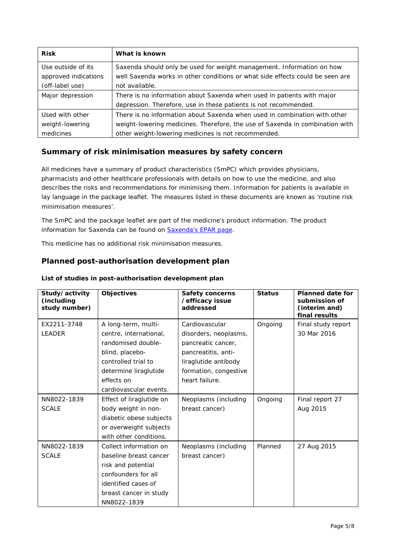| <b>Risk</b>                                | What is known                                                                                                                                          |
|--------------------------------------------|--------------------------------------------------------------------------------------------------------------------------------------------------------|
| Use outside of its<br>approved indications | Saxenda should only be used for weight management. Information on how<br>well Saxenda works in other conditions or what side effects could be seen are |
| (off-label use)                            | not available.                                                                                                                                         |
| Major depression                           | There is no information about Saxenda when used in patients with major                                                                                 |
|                                            | depression. Therefore, use in these patients is not recommended.                                                                                       |
| Used with other                            | There is no information about Saxenda when used in combination with other                                                                              |
| weight-lowering                            | weight-lowering medicines. Therefore, the use of Saxenda in combination with                                                                           |
| medicines                                  | other weight-lowering medicines is not recommended.                                                                                                    |

#### **Summary of risk minimisation measures by safety concern**

All medicines have a summary of product characteristics (SmPC) which provides physicians, pharmacists and other healthcare professionals with details on how to use the medicine, and also describes the risks and recommendations for minimising them. Information for patients is available in lay language in the package leaflet. The measures listed in these documents are known as 'routine risk minimisation measures'.

The SmPC and the package leaflet are part of the medicine's product information. The product information for Saxenda can be found on [Saxenda's EPAR page.](http://www.ema.europa.eu/ema/index.jsp?curl=/pages/medicines/human/medicines/003780/human_med_001855.jsp)

This medicine has no additional risk minimisation measures.

### **Planned post-authorisation development plan**

| Study/activity<br>(including<br>study number) | <b>Objectives</b>        | <b>Safety concerns</b><br>/efficacy issue<br>addressed | <b>Status</b> | <b>Planned date for</b><br>submission of<br>(interim and)<br>final results |
|-----------------------------------------------|--------------------------|--------------------------------------------------------|---------------|----------------------------------------------------------------------------|
| EX2211-3748                                   | A long-term, multi-      | Cardiovascular                                         | Ongoing       | Final study report                                                         |
| <b>LEADER</b>                                 | centre, international,   | disorders, neoplasms,                                  |               | 30 Mar 2016                                                                |
|                                               | randomised double-       | pancreatic cancer,                                     |               |                                                                            |
|                                               | blind, placebo-          | pancreatitis, anti-                                    |               |                                                                            |
|                                               | controlled trial to      | liraglutide antibody                                   |               |                                                                            |
|                                               | determine liraglutide    | formation, congestive                                  |               |                                                                            |
|                                               | effects on               | heart failure.                                         |               |                                                                            |
|                                               | cardiovascular events.   |                                                        |               |                                                                            |
| NN8022-1839                                   | Effect of liraglutide on | Neoplasms (including                                   | Ongoing       | Final report 27                                                            |
| <b>SCALE</b>                                  | body weight in non-      | breast cancer)                                         |               | Aug 2015                                                                   |
|                                               | diabetic obese subjects  |                                                        |               |                                                                            |
|                                               | or overweight subjects   |                                                        |               |                                                                            |
|                                               | with other conditions.   |                                                        |               |                                                                            |
| NN8022-1839                                   | Collect information on   | Neoplasms (including                                   | Planned       | 27 Aug 2015                                                                |
| <b>SCALE</b>                                  | baseline breast cancer   | breast cancer)                                         |               |                                                                            |
|                                               | risk and potential       |                                                        |               |                                                                            |
|                                               | confounders for all      |                                                        |               |                                                                            |
|                                               | identified cases of      |                                                        |               |                                                                            |
|                                               | breast cancer in study   |                                                        |               |                                                                            |
|                                               | NN8022-1839              |                                                        |               |                                                                            |

#### *List of studies in post-authorisation development plan*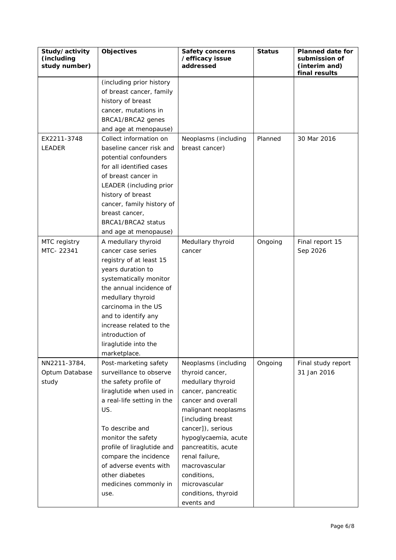| Study/activity<br>(including<br>study number) | Objectives                 | <b>Safety concerns</b><br>/efficacy issue<br>addressed | <b>Status</b> | <b>Planned date for</b><br>submission of<br>(interim and)<br>final results |
|-----------------------------------------------|----------------------------|--------------------------------------------------------|---------------|----------------------------------------------------------------------------|
|                                               | (including prior history   |                                                        |               |                                                                            |
|                                               | of breast cancer, family   |                                                        |               |                                                                            |
|                                               | history of breast          |                                                        |               |                                                                            |
|                                               | cancer, mutations in       |                                                        |               |                                                                            |
|                                               | BRCA1/BRCA2 genes          |                                                        |               |                                                                            |
|                                               | and age at menopause)      |                                                        |               |                                                                            |
| EX2211-3748                                   | Collect information on     | Neoplasms (including                                   | Planned       | 30 Mar 2016                                                                |
| LEADER                                        | baseline cancer risk and   | breast cancer)                                         |               |                                                                            |
|                                               | potential confounders      |                                                        |               |                                                                            |
|                                               | for all identified cases   |                                                        |               |                                                                            |
|                                               | of breast cancer in        |                                                        |               |                                                                            |
|                                               | LEADER (including prior    |                                                        |               |                                                                            |
|                                               | history of breast          |                                                        |               |                                                                            |
|                                               | cancer, family history of  |                                                        |               |                                                                            |
|                                               | breast cancer,             |                                                        |               |                                                                            |
|                                               | BRCA1/BRCA2 status         |                                                        |               |                                                                            |
|                                               | and age at menopause)      |                                                        |               |                                                                            |
| MTC registry                                  | A medullary thyroid        | Medullary thyroid                                      | Ongoing       | Final report 15                                                            |
| MTC-22341                                     | cancer case series         | cancer                                                 |               | Sep 2026                                                                   |
|                                               | registry of at least 15    |                                                        |               |                                                                            |
|                                               | years duration to          |                                                        |               |                                                                            |
|                                               | systematically monitor     |                                                        |               |                                                                            |
|                                               | the annual incidence of    |                                                        |               |                                                                            |
|                                               | medullary thyroid          |                                                        |               |                                                                            |
|                                               | carcinoma in the US        |                                                        |               |                                                                            |
|                                               | and to identify any        |                                                        |               |                                                                            |
|                                               | increase related to the    |                                                        |               |                                                                            |
|                                               | introduction of            |                                                        |               |                                                                            |
|                                               | liraglutide into the       |                                                        |               |                                                                            |
|                                               | marketplace.               |                                                        |               |                                                                            |
| NN2211-3784,                                  | Post-marketing safety      | Neoplasms (including                                   | Ongoing       | Final study report                                                         |
| Optum Database                                | surveillance to observe    | thyroid cancer,                                        |               | 31 Jan 2016                                                                |
| study                                         | the safety profile of      | medullary thyroid                                      |               |                                                                            |
|                                               | liraglutide when used in   | cancer, pancreatic                                     |               |                                                                            |
|                                               | a real-life setting in the | cancer and overall                                     |               |                                                                            |
|                                               | US.                        | malignant neoplasms                                    |               |                                                                            |
|                                               |                            | [including breast                                      |               |                                                                            |
|                                               | To describe and            | cancer]), serious                                      |               |                                                                            |
|                                               | monitor the safety         | hypoglycaemia, acute                                   |               |                                                                            |
|                                               | profile of liraglutide and | pancreatitis, acute                                    |               |                                                                            |
|                                               | compare the incidence      | renal failure,                                         |               |                                                                            |
|                                               | of adverse events with     | macrovascular                                          |               |                                                                            |
|                                               | other diabetes             | conditions,                                            |               |                                                                            |
|                                               | medicines commonly in      | microvascular                                          |               |                                                                            |
|                                               | use.                       | conditions, thyroid                                    |               |                                                                            |
|                                               |                            | events and                                             |               |                                                                            |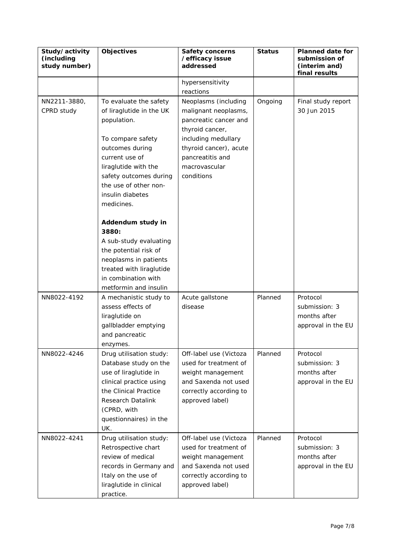| Study/activity<br>(including<br>study number) | Objectives                                                                                                                                                                                                                                                    | <b>Safety concerns</b><br>/efficacy issue<br>addressed                                                                                                                                       | <b>Status</b> | <b>Planned date for</b><br>submission of<br>(interim and)<br>final results |
|-----------------------------------------------|---------------------------------------------------------------------------------------------------------------------------------------------------------------------------------------------------------------------------------------------------------------|----------------------------------------------------------------------------------------------------------------------------------------------------------------------------------------------|---------------|----------------------------------------------------------------------------|
|                                               |                                                                                                                                                                                                                                                               | hypersensitivity<br>reactions                                                                                                                                                                |               |                                                                            |
| NN2211-3880,<br>CPRD study                    | To evaluate the safety<br>of liraglutide in the UK<br>population.<br>To compare safety<br>outcomes during<br>current use of<br>liraglutide with the<br>safety outcomes during<br>the use of other non-<br>insulin diabetes<br>medicines.<br>Addendum study in | Neoplasms (including<br>malignant neoplasms,<br>pancreatic cancer and<br>thyroid cancer,<br>including medullary<br>thyroid cancer), acute<br>pancreatitis and<br>macrovascular<br>conditions | Ongoing       | Final study report<br>30 Jun 2015                                          |
|                                               | 3880:<br>A sub-study evaluating<br>the potential risk of<br>neoplasms in patients<br>treated with liraglutide<br>in combination with<br>metformin and insulin                                                                                                 |                                                                                                                                                                                              |               |                                                                            |
| NN8022-4192                                   | A mechanistic study to<br>assess effects of<br>liraglutide on<br>gallbladder emptying<br>and pancreatic<br>enzymes.                                                                                                                                           | Acute gallstone<br>disease                                                                                                                                                                   | Planned       | Protocol<br>submission: 3<br>months after<br>approval in the EU            |
| NN8022-4246                                   | Drug utilisation study:<br>Database study on the<br>use of liraglutide in<br>clinical practice using<br>the Clinical Practice<br>Research Datalink<br>(CPRD, with<br>questionnaires) in the<br>UK.                                                            | Off-label use (Victoza<br>used for treatment of<br>weight management<br>and Saxenda not used<br>correctly according to<br>approved label)                                                    | Planned       | Protocol<br>submission: 3<br>months after<br>approval in the EU            |
| NN8022-4241                                   | Drug utilisation study:<br>Retrospective chart<br>review of medical<br>records in Germany and<br>Italy on the use of<br>liraglutide in clinical<br>practice.                                                                                                  | Off-label use (Victoza<br>used for treatment of<br>weight management<br>and Saxenda not used<br>correctly according to<br>approved label)                                                    | Planned       | Protocol<br>submission: 3<br>months after<br>approval in the EU            |